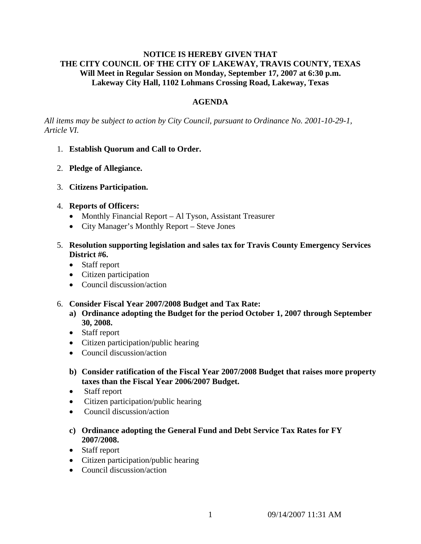### **NOTICE IS HEREBY GIVEN THAT THE CITY COUNCIL OF THE CITY OF LAKEWAY, TRAVIS COUNTY, TEXAS Will Meet in Regular Session on Monday, September 17, 2007 at 6:30 p.m. Lakeway City Hall, 1102 Lohmans Crossing Road, Lakeway, Texas**

# **AGENDA**

*All items may be subject to action by City Council, pursuant to Ordinance No. 2001-10-29-1, Article VI.* 

- 1. **Establish Quorum and Call to Order.**
- 2. **Pledge of Allegiance.**
- 3. **Citizens Participation.**
- 4. **Reports of Officers:**
	- Monthly Financial Report Al Tyson, Assistant Treasurer
	- City Manager's Monthly Report Steve Jones
- 5. **Resolution supporting legislation and sales tax for Travis County Emergency Services District #6.** 
	- Staff report
	- Citizen participation
	- Council discussion/action
- 6. **Consider Fiscal Year 2007/2008 Budget and Tax Rate:** 
	- **a) Ordinance adopting the Budget for the period October 1, 2007 through September 30, 2008.**
	- Staff report
	- Citizen participation/public hearing
	- Council discussion/action
	- **b) Consider ratification of the Fiscal Year 2007/2008 Budget that raises more property taxes than the Fiscal Year 2006/2007 Budget.**
	- Staff report
	- Citizen participation/public hearing
	- Council discussion/action
	- **c) Ordinance adopting the General Fund and Debt Service Tax Rates for FY 2007/2008.**
	- Staff report
	- Citizen participation/public hearing
	- Council discussion/action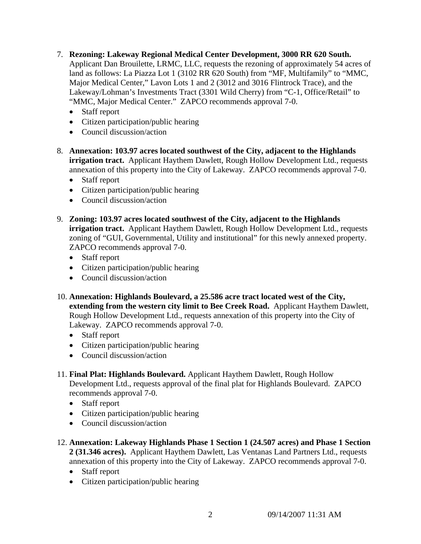- 7. **Rezoning: Lakeway Regional Medical Center Development, 3000 RR 620 South.**  Applicant Dan Brouilette, LRMC, LLC, requests the rezoning of approximately 54 acres of land as follows: La Piazza Lot 1 (3102 RR 620 South) from "MF, Multifamily" to "MMC, Major Medical Center," Lavon Lots 1 and 2 (3012 and 3016 Flintrock Trace), and the Lakeway/Lohman's Investments Tract (3301 Wild Cherry) from "C-1, Office/Retail" to "MMC, Major Medical Center." ZAPCO recommends approval 7-0.
	- Staff report
	- Citizen participation/public hearing
	- Council discussion/action
- 8. **Annexation: 103.97 acres located southwest of the City, adjacent to the Highlands irrigation tract.** Applicant Haythem Dawlett, Rough Hollow Development Ltd., requests annexation of this property into the City of Lakeway. ZAPCO recommends approval 7-0.
	- Staff report
	- Citizen participation/public hearing
	- Council discussion/action
- 9. **Zoning: 103.97 acres located southwest of the City, adjacent to the Highlands irrigation tract.** Applicant Haythem Dawlett, Rough Hollow Development Ltd., requests zoning of "GUI, Governmental, Utility and institutional" for this newly annexed property. ZAPCO recommends approval 7-0.
	- Staff report
	- Citizen participation/public hearing
	- Council discussion/action
- 10. **Annexation: Highlands Boulevard, a 25.586 acre tract located west of the City, extending from the western city limit to Bee Creek Road.** Applicant Haythem Dawlett, Rough Hollow Development Ltd., requests annexation of this property into the City of Lakeway. ZAPCO recommends approval 7-0.
	- Staff report
	- Citizen participation/public hearing
	- Council discussion/action
- 11. **Final Plat: Highlands Boulevard.** Applicant Haythem Dawlett, Rough Hollow Development Ltd., requests approval of the final plat for Highlands Boulevard. ZAPCO recommends approval 7-0.
	- Staff report
	- Citizen participation/public hearing
	- Council discussion/action
- 12. **Annexation: Lakeway Highlands Phase 1 Section 1 (24.507 acres) and Phase 1 Section 2 (31.346 acres).** Applicant Haythem Dawlett, Las Ventanas Land Partners Ltd., requests annexation of this property into the City of Lakeway. ZAPCO recommends approval 7-0.
	- Staff report
	- Citizen participation/public hearing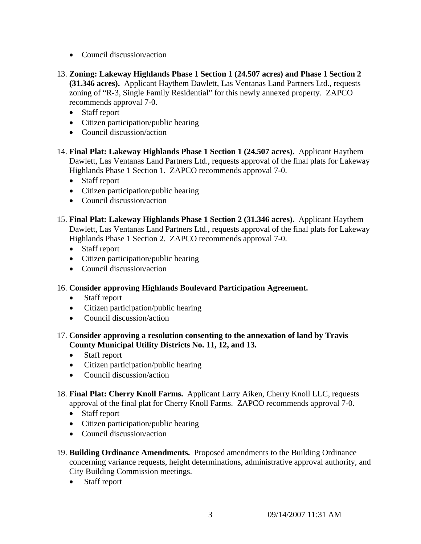- Council discussion/action
- 13. **Zoning: Lakeway Highlands Phase 1 Section 1 (24.507 acres) and Phase 1 Section 2 (31.346 acres).** Applicant Haythem Dawlett, Las Ventanas Land Partners Ltd., requests zoning of "R-3, Single Family Residential" for this newly annexed property. ZAPCO recommends approval 7-0.
	- Staff report
	- Citizen participation/public hearing
	- Council discussion/action
- 14. **Final Plat: Lakeway Highlands Phase 1 Section 1 (24.507 acres).** Applicant Haythem Dawlett, Las Ventanas Land Partners Ltd., requests approval of the final plats for Lakeway Highlands Phase 1 Section 1. ZAPCO recommends approval 7-0.
	- Staff report
	- Citizen participation/public hearing
	- Council discussion/action
- 15. **Final Plat: Lakeway Highlands Phase 1 Section 2 (31.346 acres).** Applicant Haythem Dawlett, Las Ventanas Land Partners Ltd., requests approval of the final plats for Lakeway Highlands Phase 1 Section 2. ZAPCO recommends approval 7-0.
	- Staff report
	- Citizen participation/public hearing
	- Council discussion/action
- 16. **Consider approving Highlands Boulevard Participation Agreement.**
	- Staff report
	- Citizen participation/public hearing
	- Council discussion/action
- 17. **Consider approving a resolution consenting to the annexation of land by Travis County Municipal Utility Districts No. 11, 12, and 13.**
	- Staff report
	- Citizen participation/public hearing
	- Council discussion/action
- 18. **Final Plat: Cherry Knoll Farms.** Applicant Larry Aiken, Cherry Knoll LLC, requests approval of the final plat for Cherry Knoll Farms. ZAPCO recommends approval 7-0.
	- Staff report
	- Citizen participation/public hearing
	- Council discussion/action
- 19. **Building Ordinance Amendments.** Proposed amendments to the Building Ordinance concerning variance requests, height determinations, administrative approval authority, and City Building Commission meetings.
	- Staff report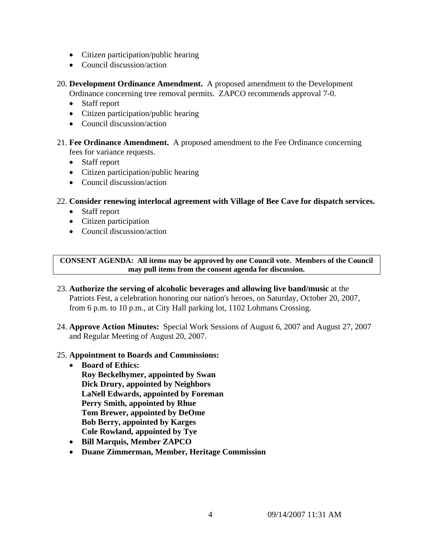- Citizen participation/public hearing
- Council discussion/action

20. **Development Ordinance Amendment.** A proposed amendment to the Development Ordinance concerning tree removal permits. ZAPCO recommends approval 7-0.

- Staff report
- Citizen participation/public hearing
- Council discussion/action
- 21. **Fee Ordinance Amendment.** A proposed amendment to the Fee Ordinance concerning fees for variance requests.
	- Staff report
	- Citizen participation/public hearing
	- Council discussion/action
- 22. **Consider renewing interlocal agreement with Village of Bee Cave for dispatch services.** 
	- Staff report
	- Citizen participation
	- Council discussion/action

**CONSENT AGENDA: All items may be approved by one Council vote. Members of the Council may pull items from the consent agenda for discussion.** 

- 23. **Authorize the serving of alcoholic beverages and allowing live band/music** at the Patriots Fest, a celebration honoring our nation's heroes, on Saturday, October 20, 2007, from 6 p.m. to 10 p.m., at City Hall parking lot, 1102 Lohmans Crossing.
- 24. **Approve Action Minutes:** Special Work Sessions of August 6, 2007 and August 27, 2007 and Regular Meeting of August 20, 2007.

## 25. **Appointment to Boards and Commissions:**

- **Board of Ethics: Roy Beckelhymer, appointed by Swan Dick Drury, appointed by Neighbors LaNell Edwards, appointed by Foreman Perry Smith, appointed by Rhue Tom Brewer, appointed by DeOme Bob Berry, appointed by Karges Cole Rowland, appointed by Tye**
- **Bill Marquis, Member ZAPCO**
- **Duane Zimmerman, Member, Heritage Commission**